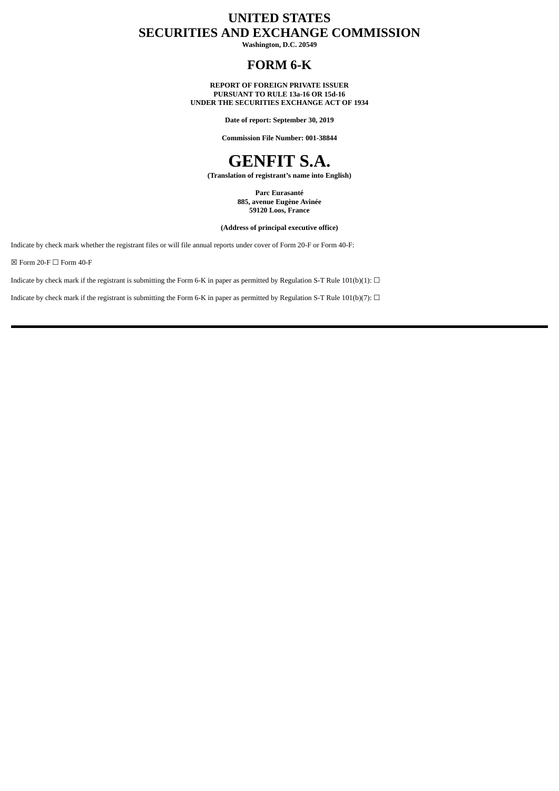# **UNITED STATES SECURITIES AND EXCHANGE COMMISSION**

**Washington, D.C. 20549**

## **FORM 6-K**

**REPORT OF FOREIGN PRIVATE ISSUER PURSUANT TO RULE 13a-16 OR 15d-16 UNDER THE SECURITIES EXCHANGE ACT OF 1934**

**Date of report: September 30, 2019**

**Commission File Number: 001-38844**

# **GENFIT S.A.**

**(Translation of registrant's name into English)**

**Parc Eurasanté 885, avenue Eugène Avinée 59120 Loos, France**

**(Address of principal executive office)**

Indicate by check mark whether the registrant files or will file annual reports under cover of Form 20-F or Form 40-F:

 $\boxtimes$  Form 20-F  $\Box$  Form 40-F

Indicate by check mark if the registrant is submitting the Form 6-K in paper as permitted by Regulation S-T Rule 101(b)(1):  $\Box$ 

Indicate by check mark if the registrant is submitting the Form 6-K in paper as permitted by Regulation S-T Rule 101(b)(7):  $\Box$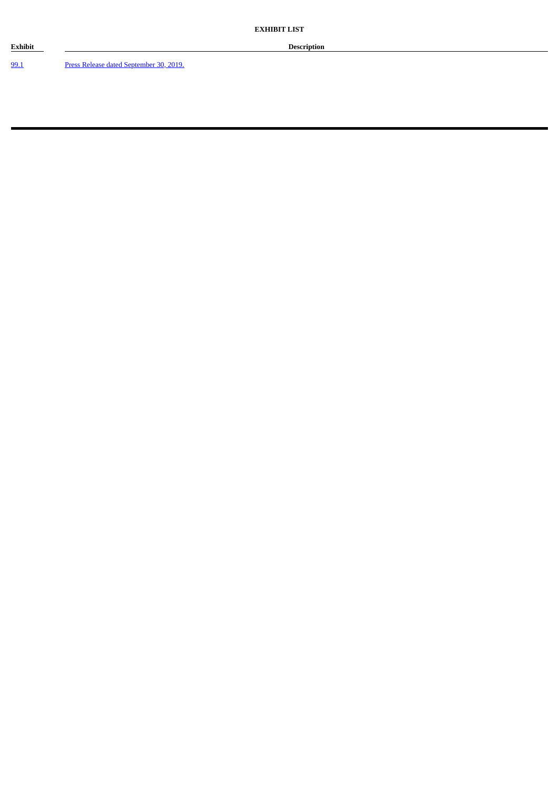99.1 Press Release dated September 30, 2019.

**Exhibit Description**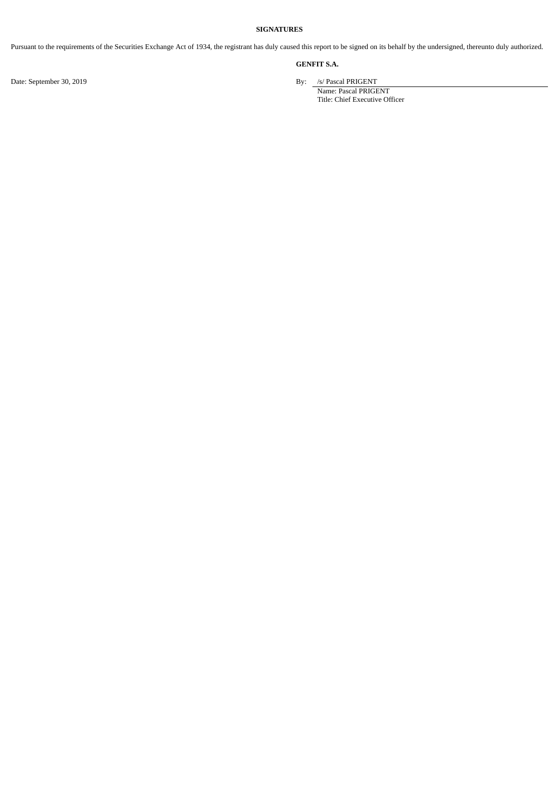#### **SIGNATURES**

Pursuant to the requirements of the Securities Exchange Act of 1934, the registrant has duly caused this report to be signed on its behalf by the undersigned, thereunto duly authorized.

## **GENFIT S.A.**

Date: September 30, 2019 By: /s/ Pascal PRIGENT

Name: Pascal PRIGENT Title: Chief Executive Officer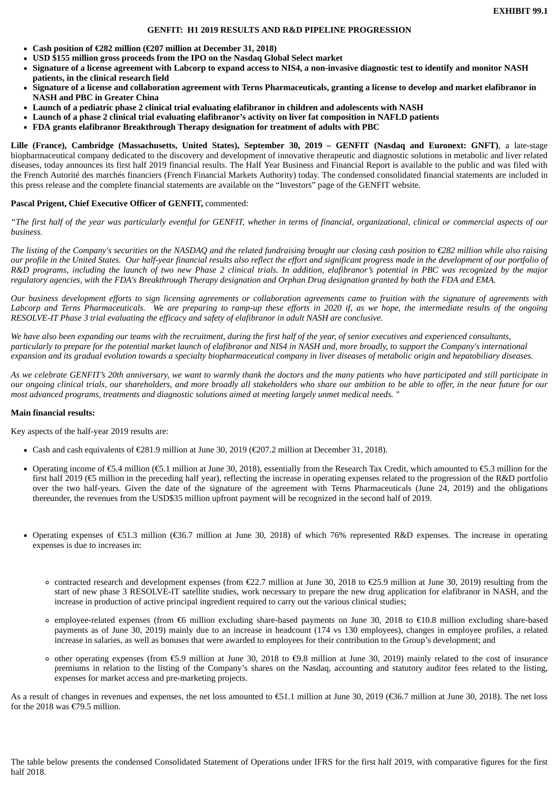**EXHIBIT 99.1**

#### **GENFIT: H1 2019 RESULTS AND R&D PIPELINE PROGRESSION**

- **Cash position of €282 million (€207 million at December 31, 2018)**
- **USD \$155 million gross proceeds from the IPO on the Nasdaq Global Select market**
- **Signature of a license agreement with Labcorp to expand access to NIS4, a non-invasive diagnostic test to identify and monitor NASH patients, in the clinical research field**
- **Signature of a license and collaboration agreement with Terns Pharmaceuticals, granting a license to develop and market elafibranor in NASH and PBC in Greater China**
- **Launch of a pediatric phase 2 clinical trial evaluating elafibranor in children and adolescents with NASH**
- **Launch of a phase 2 clinical trial evaluating elafibranor's activity on liver fat composition in NAFLD patients**
- **FDA grants elafibranor Breakthrough Therapy designation for treatment of adults with PBC**

**Lille (France), Cambridge (Massachusetts, United States), September 30, 2019 – GENFIT (Nasdaq and Euronext: GNFT)**, a late-stage biopharmaceutical company dedicated to the discovery and development of innovative therapeutic and diagnostic solutions in metabolic and liver related diseases, today announces its first half 2019 financial results. The Half Year Business and Financial Report is available to the public and was filed with the French Autorité des marchés financiers (French Financial Markets Authority) today. The condensed consolidated financial statements are included in this press release and the complete financial statements are available on the "Investors" page of the GENFIT website.

## **Pascal Prigent, Chief Executive Officer of GENFIT,** commented:

*"The first half of the year was particularly eventful for GENFIT, whether in terms of financial, organizational, clinical or commercial aspects of our business.*

*The listing of the Company's securities on the NASDAQ and the related fundraising brought our closing cash position to €282 million while also raising our profile in the United States. Our half-year financial results also reflect the effort and significant progress made in the development of our portfolio of R&D programs, including the launch of two new Phase 2 clinical trials. In addition, elafibranor's potential in PBC was recognized by the major regulatory agencies, with the FDA's Breakthrough Therapy designation and Orphan Drug designation granted by both the FDA and EMA.*

*Our business development efforts to sign licensing agreements or collaboration agreements came to fruition with the signature of agreements with Labcorp and Terns Pharmaceuticals. We are preparing to ramp-up these efforts in 2020 if, as we hope, the intermediate results of the ongoing RESOLVE-IT Phase 3 trial evaluating the efficacy and safety of elafibranor in adult NASH are conclusive.*

*We have also been expanding our teams with the recruitment, during the first half of the year, of senior executives and experienced consultants, particularly to prepare for the potential market launch of elafibranor and NIS4 in NASH and, more broadly, to support the Company's international expansion and its gradual evolution towards a specialty biopharmaceutical company in liver diseases of metabolic origin and hepatobiliary diseases.*

*As we celebrate GENFIT's 20th anniversary, we want to warmly thank the doctors and the many patients who have participated and still participate in our ongoing clinical trials, our shareholders, and more broadly all stakeholders who share our ambition to be able to offer, in the near future for our most advanced programs, treatments and diagnostic solutions aimed at meeting largely unmet medical needs. "*

## **Main financial results:**

Key aspects of the half-year 2019 results are:

- Cash and cash equivalents of €281.9 million at June 30, 2019 (€207.2 million at December 31, 2018).
- Operating income of €5.4 million (€5.1 million at June 30, 2018), essentially from the Research Tax Credit, which amounted to €5.3 million for the first half 2019 (€5 million in the preceding half year), reflecting the increase in operating expenses related to the progression of the R&D portfolio over the two half-years. Given the date of the signature of the agreement with Terns Pharmaceuticals (June 24, 2019) and the obligations thereunder, the revenues from the USD\$35 million upfront payment will be recognized in the second half of 2019.
- Operating expenses of €51.3 million (€36.7 million at June 30, 2018) of which 76% represented R&D expenses. The increase in operating expenses is due to increases in:
	- contracted research and development expenses (from €22.7 million at June 30, 2018 to €25.9 million at June 30, 2019) resulting from the start of new phase 3 RESOLVE-IT satellite studies, work necessary to prepare the new drug application for elafibranor in NASH, and the increase in production of active principal ingredient required to carry out the various clinical studies;
	- employee-related expenses (from €6 million excluding share-based payments on June 30, 2018 to €10.8 million excluding share-based payments as of June 30, 2019) mainly due to an increase in headcount (174 vs 130 employees), changes in employee profiles, a related increase in salaries, as well as bonuses that were awarded to employees for their contribution to the Group's development; and
	- other operating expenses (from €5.9 million at June 30, 2018 to €9.8 million at June 30, 2019) mainly related to the cost of insurance premiums in relation to the listing of the Company's shares on the Nasdaq, accounting and statutory auditor fees related to the listing, expenses for market access and pre-marketing projects.

As a result of changes in revenues and expenses, the net loss amounted to €51.1 million at June 30, 2019 (€36.7 million at June 30, 2018). The net loss for the 2018 was  $\epsilon$ 79.5 million.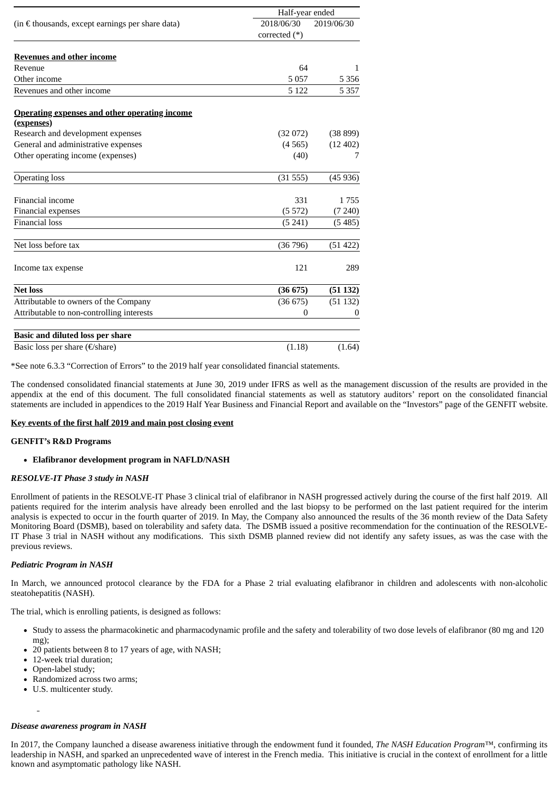|                                                           | Half-year ended |            |  |
|-----------------------------------------------------------|-----------------|------------|--|
| (in $\epsilon$ thousands, except earnings per share data) | 2018/06/30      | 2019/06/30 |  |
|                                                           | corrected $(*)$ |            |  |
| <b>Revenues and other income</b>                          |                 |            |  |
| Revenue                                                   | 64              | 1.         |  |
| Other income                                              | 5057            | 5 3 5 6    |  |
| Revenues and other income                                 | 5 1 2 2         | 5 3 5 7    |  |
| <b>Operating expenses and other operating income</b>      |                 |            |  |
| (expenses)                                                |                 |            |  |
| Research and development expenses                         | (32072)         | (38 899)   |  |
| General and administrative expenses                       | (4565)          | (12 402)   |  |
| Other operating income (expenses)                         | (40)            | 7          |  |
| <b>Operating loss</b>                                     | (31555)         | (45 936)   |  |
| Financial income                                          | 331             | 1755       |  |
| Financial expenses                                        | (5572)          | (7240)     |  |
| <b>Financial loss</b>                                     | (5241)          | (5485)     |  |
| Net loss before tax                                       | (36796)         | (51 422)   |  |
| Income tax expense                                        | 121             | 289        |  |
| <b>Net loss</b>                                           | (36675)         | (51132)    |  |
| Attributable to owners of the Company                     | (36675)         | (51132)    |  |
| Attributable to non-controlling interests                 | 0               | $\theta$   |  |
| <b>Basic and diluted loss per share</b>                   |                 |            |  |
| Basic loss per share (€/share)                            | (1.18)          | (1.64)     |  |

\*See note 6.3.3 "Correction of Errors" to the 2019 half year consolidated financial statements.

The condensed consolidated financial statements at June 30, 2019 under IFRS as well as the management discussion of the results are provided in the appendix at the end of this document. The full consolidated financial statements as well as statutory auditors' report on the consolidated financial statements are included in appendices to the 2019 Half Year Business and Financial Report and available on the "Investors" page of the GENFIT website.

## **Key events of the first half 2019 and main post closing event**

## **GENFIT's R&D Programs**

## **Elafibranor development program in NAFLD/NASH**

## *RESOLVE-IT Phase 3 study in NASH*

Enrollment of patients in the RESOLVE-IT Phase 3 clinical trial of elafibranor in NASH progressed actively during the course of the first half 2019. All patients required for the interim analysis have already been enrolled and the last biopsy to be performed on the last patient required for the interim analysis is expected to occur in the fourth quarter of 2019. In May, the Company also announced the results of the 36 month review of the Data Safety Monitoring Board (DSMB), based on tolerability and safety data. The DSMB issued a positive recommendation for the continuation of the RESOLVE-IT Phase 3 trial in NASH without any modifications. This sixth DSMB planned review did not identify any safety issues, as was the case with the previous reviews.

## *Pediatric Program in NASH*

In March, we announced protocol clearance by the FDA for a Phase 2 trial evaluating elafibranor in children and adolescents with non-alcoholic steatohepatitis (NASH).

The trial, which is enrolling patients, is designed as follows:

- Study to assess the pharmacokinetic and pharmacodynamic profile and the safety and tolerability of two dose levels of elafibranor (80 mg and 120 mg);
- 20 patients between 8 to 17 years of age, with NASH;
- 12-week trial duration;
- Open-label study;
- Randomized across two arms;
- U.S. multicenter study.

## *Disease awareness program in NASH*

In 2017, the Company launched a disease awareness initiative through the endowment fund it founded, *The NASH Education Program™*, confirming its leadership in NASH, and sparked an unprecedented wave of interest in the French media. This initiative is crucial in the context of enrollment for a little known and asymptomatic pathology like NASH.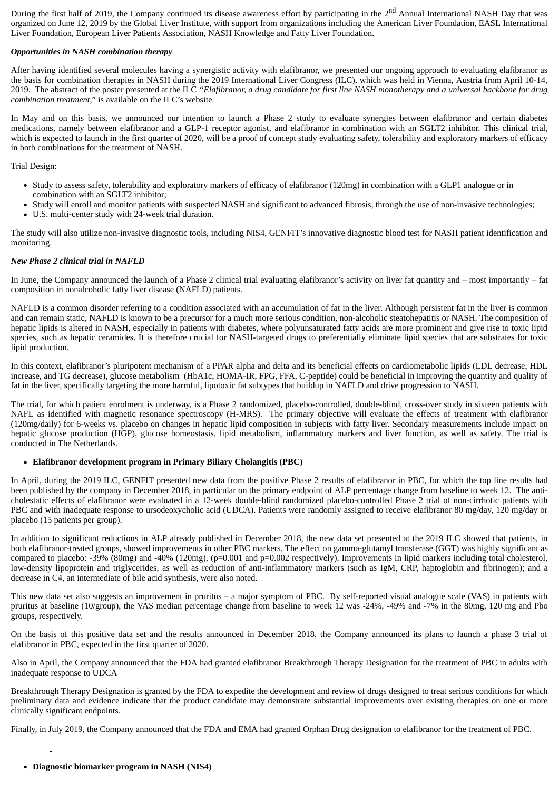During the first half of 2019, the Company continued its disease awareness effort by participating in the 2<sup>nd</sup> Annual International NASH Day that was organized on June 12, 2019 by the Global Liver Institute, with support from organizations including the American Liver Foundation, EASL International Liver Foundation, European Liver Patients Association, NASH Knowledge and Fatty Liver Foundation.

## *Opportunities in NASH combination therapy*

After having identified several molecules having a synergistic activity with elafibranor, we presented our ongoing approach to evaluating elafibranor as the basis for combination therapies in NASH during the 2019 International Liver Congress (ILC), which was held in Vienna, Austria from April 10-14, 2019. The abstract of the poster presented at the ILC *"Elafibranor, a drug candidate for first line NASH monotherapy and a universal backbone for drug combination treatment,*" is available on the ILC's website.

In May and on this basis, we announced our intention to launch a Phase 2 study to evaluate synergies between elafibranor and certain diabetes medications, namely between elafibranor and a GLP-1 receptor agonist, and elafibranor in combination with an SGLT2 inhibitor. This clinical trial, which is expected to launch in the first quarter of 2020, will be a proof of concept study evaluating safety, tolerability and exploratory markers of efficacy in both combinations for the treatment of NASH.

Trial Design:

- Study to assess safety, tolerability and exploratory markers of efficacy of elafibranor (120mg) in combination with a GLP1 analogue or in combination with an SGLT2 inhibitor;
- Study will enroll and monitor patients with suspected NASH and significant to advanced fibrosis, through the use of non-invasive technologies;
- U.S. multi-center study with 24-week trial duration.

The study will also utilize non-invasive diagnostic tools, including NIS4, GENFIT's innovative diagnostic blood test for NASH patient identification and monitoring.

## *New Phase 2 clinical trial in NAFLD*

In June, the Company announced the launch of a Phase 2 clinical trial evaluating elafibranor's activity on liver fat quantity and – most importantly – fat composition in nonalcoholic fatty liver disease (NAFLD) patients.

NAFLD is a common disorder referring to a condition associated with an accumulation of fat in the liver. Although persistent fat in the liver is common and can remain static, NAFLD is known to be a precursor for a much more serious condition, non-alcoholic steatohepatitis or NASH. The composition of hepatic lipids is altered in NASH, especially in patients with diabetes, where polyunsaturated fatty acids are more prominent and give rise to toxic lipid species, such as hepatic ceramides. It is therefore crucial for NASH-targeted drugs to preferentially eliminate lipid species that are substrates for toxic lipid production.

In this context, elafibranor's pluripotent mechanism of a PPAR alpha and delta and its beneficial effects on cardiometabolic lipids (LDL decrease, HDL increase, and TG decrease), glucose metabolism (HbA1c, HOMA-IR, FPG, FFA, C-peptide) could be beneficial in improving the quantity and quality of fat in the liver, specifically targeting the more harmful, lipotoxic fat subtypes that buildup in NAFLD and drive progression to NASH.

The trial, for which patient enrolment is underway, is a Phase 2 randomized, placebo-controlled, double-blind, cross-over study in sixteen patients with NAFL as identified with magnetic resonance spectroscopy (H-MRS). The primary objective will evaluate the effects of treatment with elafibranor (120mg/daily) for 6-weeks vs. placebo on changes in hepatic lipid composition in subjects with fatty liver. Secondary measurements include impact on hepatic glucose production (HGP), glucose homeostasis, lipid metabolism, inflammatory markers and liver function, as well as safety. The trial is conducted in The Netherlands.

## **Elafibranor development program in Primary Biliary Cholangitis (PBC)**

In April, during the 2019 ILC, GENFIT presented new data from the positive Phase 2 results of elafibranor in PBC, for which the top line results had been published by the company in December 2018, in particular on the primary endpoint of ALP percentage change from baseline to week 12. The anticholestatic effects of elafibranor were evaluated in a 12-week double-blind randomized placebo-controlled Phase 2 trial of non-cirrhotic patients with PBC and with inadequate response to ursodeoxycholic acid (UDCA). Patients were randomly assigned to receive elafibranor 80 mg/day, 120 mg/day or placebo (15 patients per group).

In addition to significant reductions in ALP already published in December 2018, the new data set presented at the 2019 ILC showed that patients, in both elafibranor-treated groups, showed improvements in other PBC markers. The effect on gamma-glutamyl transferase (GGT) was highly significant as compared to placebo: -39% (80mg) and -40% (120mg), (p=0.001 and p=0.002 respectively). Improvements in lipid markers including total cholesterol, low-density lipoprotein and triglycerides, as well as reduction of anti-inflammatory markers (such as IgM, CRP, haptoglobin and fibrinogen); and a decrease in C4, an intermediate of bile acid synthesis, were also noted.

This new data set also suggests an improvement in pruritus – a major symptom of PBC. By self-reported visual analogue scale (VAS) in patients with pruritus at baseline (10/group), the VAS median percentage change from baseline to week 12 was -24%, -49% and -7% in the 80mg, 120 mg and Pbo groups, respectively.

On the basis of this positive data set and the results announced in December 2018, the Company announced its plans to launch a phase 3 trial of elafibranor in PBC, expected in the first quarter of 2020.

Also in April, the Company announced that the FDA had granted elafibranor Breakthrough Therapy Designation for the treatment of PBC in adults with inadequate response to UDCA

Breakthrough Therapy Designation is granted by the FDA to expedite the development and review of drugs designed to treat serious conditions for which preliminary data and evidence indicate that the product candidate may demonstrate substantial improvements over existing therapies on one or more clinically significant endpoints.

Finally, in July 2019, the Company announced that the FDA and EMA had granted Orphan Drug designation to elafibranor for the treatment of PBC.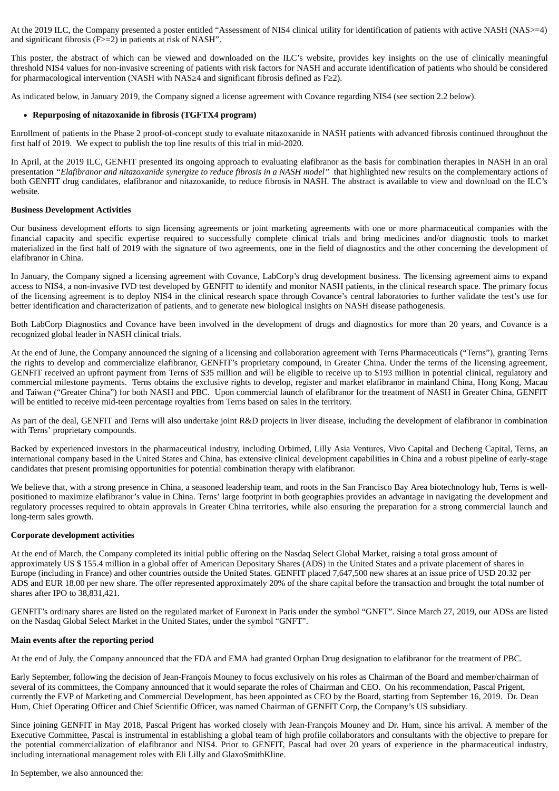At the 2019 ILC, the Company presented a poster entitled "Assessment of NIS4 clinical utility for identification of patients with active NASH (NAS>=4) and significant fibrosis (F>=2) in patients at risk of NASH".

This poster, the abstract of which can be viewed and downloaded on the ILC's website, provides key insights on the use of clinically meaningful threshold NIS4 values for non-invasive screening of patients with risk factors for NASH and accurate identification of patients who should be considered for pharmacological intervention (NASH with NAS≥4 and significant fibrosis defined as F≥2).

As indicated below, in January 2019, the Company signed a license agreement with Covance regarding NIS4 (see section 2.2 below).

## **Repurposing of nitazoxanide in fibrosis (TGFTX4 program)**

Enrollment of patients in the Phase 2 proof-of-concept study to evaluate nitazoxanide in NASH patients with advanced fibrosis continued throughout the first half of 2019. We expect to publish the top line results of this trial in mid-2020.

In April, at the 2019 ILC, GENFIT presented its ongoing approach to evaluating elafibranor as the basis for combination therapies in NASH in an oral presentation *"Elafibranor and nitazoxanide synergize to reduce fibrosis in a NASH model"* that highlighted new results on the complementary actions of both GENFIT drug candidates, elafibranor and nitazoxanide, to reduce fibrosis in NASH. The abstract is available to view and download on the ILC's website.

#### **Business Development Activities**

Our business development efforts to sign licensing agreements or joint marketing agreements with one or more pharmaceutical companies with the financial capacity and specific expertise required to successfully complete clinical trials and bring medicines and/or diagnostic tools to market materialized in the first half of 2019 with the signature of two agreements, one in the field of diagnostics and the other concerning the development of elafibranor in China.

In January, the Company signed a licensing agreement with Covance, LabCorp's drug development business. The licensing agreement aims to expand access to NIS4, a non-invasive IVD test developed by GENFIT to identify and monitor NASH patients, in the clinical research space. The primary focus of the licensing agreement is to deploy NIS4 in the clinical research space through Covance's central laboratories to further validate the test's use for better identification and characterization of patients, and to generate new biological insights on NASH disease pathogenesis.

Both LabCorp Diagnostics and Covance have been involved in the development of drugs and diagnostics for more than 20 years, and Covance is a recognized global leader in NASH clinical trials.

At the end of June, the Company announced the signing of a licensing and collaboration agreement with Terns Pharmaceuticals ("Terns"), granting Terns the rights to develop and commercialize elafibranor, GENFIT's proprietary compound, in Greater China. Under the terms of the licensing agreement, GENFIT received an upfront payment from Terns of \$35 million and will be eligible to receive up to \$193 million in potential clinical, regulatory and commercial milestone payments. Terns obtains the exclusive rights to develop, register and market elafibranor in mainland China, Hong Kong, Macau and Taiwan ("Greater China") for both NASH and PBC. Upon commercial launch of elafibranor for the treatment of NASH in Greater China, GENFIT will be entitled to receive mid-teen percentage royalties from Terns based on sales in the territory.

As part of the deal, GENFIT and Terns will also undertake joint R&D projects in liver disease, including the development of elafibranor in combination with Terns' proprietary compounds.

Backed by experienced investors in the pharmaceutical industry, including Orbimed, Lilly Asia Ventures, Vivo Capital and Decheng Capital, Terns, an international company based in the United States and China, has extensive clinical development capabilities in China and a robust pipeline of early-stage candidates that present promising opportunities for potential combination therapy with elafibranor.

We believe that, with a strong presence in China, a seasoned leadership team, and roots in the San Francisco Bay Area biotechnology hub, Terns is wellpositioned to maximize elafibranor's value in China. Terns' large footprint in both geographies provides an advantage in navigating the development and regulatory processes required to obtain approvals in Greater China territories, while also ensuring the preparation for a strong commercial launch and long-term sales growth.

#### **Corporate development activities**

At the end of March, the Company completed its initial public offering on the Nasdaq Select Global Market, raising a total gross amount of approximately US \$ 155.4 million in a global offer of American Depositary Shares (ADS) in the United States and a private placement of shares in Europe (including in France) and other countries outside the United States. GENFIT placed 7,647,500 new shares at an issue price of USD 20.32 per ADS and EUR 18.00 per new share. The offer represented approximately 20% of the share capital before the transaction and brought the total number of shares after IPO to 38,831,421.

GENFIT's ordinary shares are listed on the regulated market of Euronext in Paris under the symbol "GNFT". Since March 27, 2019, our ADSs are listed on the Nasdaq Global Select Market in the United States, under the symbol "GNFT".

## **Main events after the reporting period**

At the end of July, the Company announced that the FDA and EMA had granted Orphan Drug designation to elafibranor for the treatment of PBC.

Early September, following the decision of Jean-François Mouney to focus exclusively on his roles as Chairman of the Board and member/chairman of several of its committees, the Company announced that it would separate the roles of Chairman and CEO. On his recommendation, Pascal Prigent, currently the EVP of Marketing and Commercial Development, has been appointed as CEO by the Board, starting from September 16, 2019. Dr. Dean Hum, Chief Operating Officer and Chief Scientific Officer, was named Chairman of GENFIT Corp, the Company's US subsidiary.

Since joining GENFIT in May 2018, Pascal Prigent has worked closely with Jean-François Mouney and Dr. Hum, since his arrival. A member of the Executive Committee, Pascal is instrumental in establishing a global team of high profile collaborators and consultants with the objective to prepare for the potential commercialization of elafibranor and NIS4. Prior to GENFIT, Pascal had over 20 years of experience in the pharmaceutical industry, including international management roles with Eli Lilly and GlaxoSmithKline.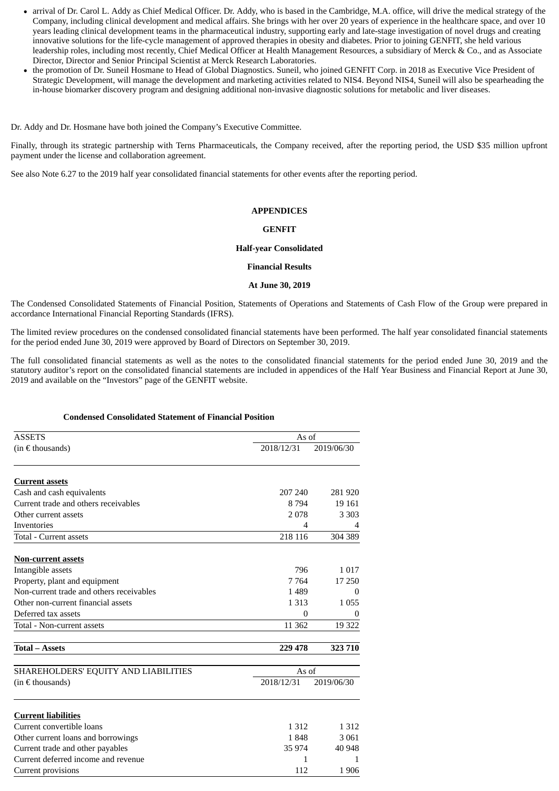- arrival of Dr. Carol L. Addy as Chief Medical Officer. Dr. Addy, who is based in the Cambridge, M.A. office, will drive the medical strategy of the Company, including clinical development and medical affairs. She brings with her over 20 years of experience in the healthcare space, and over 10 years leading clinical development teams in the pharmaceutical industry, supporting early and late-stage investigation of novel drugs and creating innovative solutions for the life-cycle management of approved therapies in obesity and diabetes. Prior to joining GENFIT, she held various leadership roles, including most recently, Chief Medical Officer at Health Management Resources, a subsidiary of Merck & Co., and as Associate Director, Director and Senior Principal Scientist at Merck Research Laboratories.
- the promotion of Dr. Suneil Hosmane to Head of Global Diagnostics. Suneil, who joined GENFIT Corp. in 2018 as Executive Vice President of Strategic Development, will manage the development and marketing activities related to NIS4. Beyond NIS4, Suneil will also be spearheading the in-house biomarker discovery program and designing additional non-invasive diagnostic solutions for metabolic and liver diseases.

Dr. Addy and Dr. Hosmane have both joined the Company's Executive Committee.

Finally, through its strategic partnership with Terns Pharmaceuticals, the Company received, after the reporting period, the USD \$35 million upfront payment under the license and collaboration agreement.

See also Note 6.27 to the 2019 half year consolidated financial statements for other events after the reporting period.

## **APPENDICES**

## **GENFIT**

## **Half-year Consolidated**

## **Financial Results**

#### **At June 30, 2019**

The Condensed Consolidated Statements of Financial Position, Statements of Operations and Statements of Cash Flow of the Group were prepared in accordance International Financial Reporting Standards (IFRS).

The limited review procedures on the condensed consolidated financial statements have been performed. The half year consolidated financial statements for the period ended June 30, 2019 were approved by Board of Directors on September 30, 2019.

The full consolidated financial statements as well as the notes to the consolidated financial statements for the period ended June 30, 2019 and the statutory auditor's report on the consolidated financial statements are included in appendices of the Half Year Business and Financial Report at June 30, 2019 and available on the "Investors" page of the GENFIT website.

## **Condensed Consolidated Statement of Financial Position**

| <b>ASSETS</b>                            | As of      |            |
|------------------------------------------|------------|------------|
| (in $\epsilon$ thousands)                | 2018/12/31 | 2019/06/30 |
| <b>Current assets</b>                    |            |            |
| Cash and cash equivalents                | 207 240    | 281 920    |
| Current trade and others receivables     | 8 7 9 4    | 19 16 1    |
| Other current assets                     | 2078       | 3 3 0 3    |
| <b>Inventories</b>                       | 4          |            |
| Total - Current assets                   | 218 116    | 304 389    |
| <b>Non-current assets</b>                |            |            |
| Intangible assets                        | 796        | 1 0 1 7    |
| Property, plant and equipment            | 7 7 6 4    | 17 250     |
| Non-current trade and others receivables | 1489       | 0          |
| Other non-current financial assets       | 1 3 1 3    | 1 0 5 5    |
| Deferred tax assets                      | 0          | 0          |
| Total - Non-current assets               | 11 362     | 19 322     |
| <b>Total - Assets</b>                    | 229 478    | 323 710    |
| SHAREHOLDERS' EQUITY AND LIABILITIES     | As of      |            |
| (in $\epsilon$ thousands)                | 2018/12/31 | 2019/06/30 |
| <b>Current liabilities</b>               |            |            |
| Current convertible loans                | 1 3 1 2    | 1 3 1 2    |
| Other current loans and borrowings       | 1848       | 3 0 6 1    |
| Current trade and other payables         | 35 974     | 40 948     |
| Current deferred income and revenue      | 1          | 1          |
| Current provisions                       | 112        | 1906       |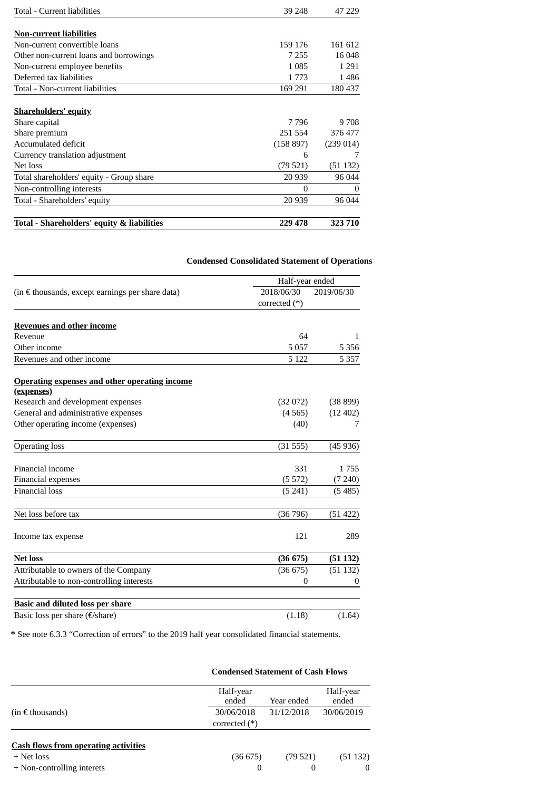| Total - Current liabilities                | 39 248    | 47 229   |
|--------------------------------------------|-----------|----------|
|                                            |           |          |
| Non-current liabilities                    |           |          |
| Non-current convertible loans              | 159 176   | 161 612  |
| Other non-current loans and borrowings     | 7 255     | 16 048   |
| Non-current employee benefits              | 1 085     | 1 2 9 1  |
| Deferred tax liabilities                   | 1 773     | 1486     |
| Total - Non-current liabilities            | 169 291   | 180 437  |
| <b>Shareholders' equity</b>                |           |          |
| Share capital                              | 7 7 9 6   | 9 708    |
| Share premium                              | 251 554   | 376 477  |
| Accumulated deficit                        | (158 897) | (239014) |
| Currency translation adjustment            | 6         |          |
| Net loss                                   | (79 521)  | (51 132) |
| Total shareholders' equity - Group share   | 20 939    | 96 044   |
| Non-controlling interests                  | 0         | $\Omega$ |
| Total - Shareholders' equity               | 20 9 39   | 96 044   |
| Total - Shareholders' equity & liabilities | 229 478   | 323 710  |

**Condensed Consolidated Statement of Operations**

|                                                      |                 | Half-year ended |  |  |
|------------------------------------------------------|-----------------|-----------------|--|--|
| (in € thousands, except earnings per share data)     | 2018/06/30      | 2019/06/30      |  |  |
|                                                      | corrected $(*)$ |                 |  |  |
| <b>Revenues and other income</b>                     |                 |                 |  |  |
| Revenue                                              | 64              | 1               |  |  |
| Other income                                         | 5057            | 5 3 5 6         |  |  |
| Revenues and other income                            | 5 1 2 2         | 5 3 5 7         |  |  |
| <b>Operating expenses and other operating income</b> |                 |                 |  |  |
| (expenses)                                           |                 |                 |  |  |
| Research and development expenses                    | (32072)         | (38899)         |  |  |
| General and administrative expenses                  | (4565)          | (12 402)        |  |  |
| Other operating income (expenses)                    | (40)            | 7               |  |  |
| <b>Operating loss</b>                                | (31555)         | (45936)         |  |  |
| Financial income                                     | 331             | 1755            |  |  |
| Financial expenses                                   | (5572)          | (7240)          |  |  |
| <b>Financial loss</b>                                | (5241)          | (5485)          |  |  |
| Net loss before tax                                  | (36796)         | (51 422)        |  |  |
| Income tax expense                                   | 121             | 289             |  |  |
| <b>Net loss</b>                                      | (36675)         | (51132)         |  |  |
| Attributable to owners of the Company                | (36675)         | (51 132)        |  |  |
| Attributable to non-controlling interests            | $\mathbf{0}$    | 0               |  |  |
| <b>Basic and diluted loss per share</b>              |                 |                 |  |  |
| Basic loss per share (€/share)                       | (1.18)          | (1.64)          |  |  |

**\*** See note 6.3.3 "Correction of errors" to the 2019 half year consolidated financial statements.

|                                                                                         |                    | <b>Condensed Statement of Cash Flows</b> |                    |
|-----------------------------------------------------------------------------------------|--------------------|------------------------------------------|--------------------|
|                                                                                         | Half-year<br>ended | Year ended                               | Half-year<br>ended |
| $(in \in$ thousands)                                                                    | 30/06/2018         | 31/12/2018                               | 30/06/2019         |
|                                                                                         | corrected $(*)$    |                                          |                    |
| <b>Cash flows from operating activities</b><br>+ Net loss<br>+ Non-controlling interets | (36675)<br>0       | (79521)<br>$\Omega$                      | (51132)            |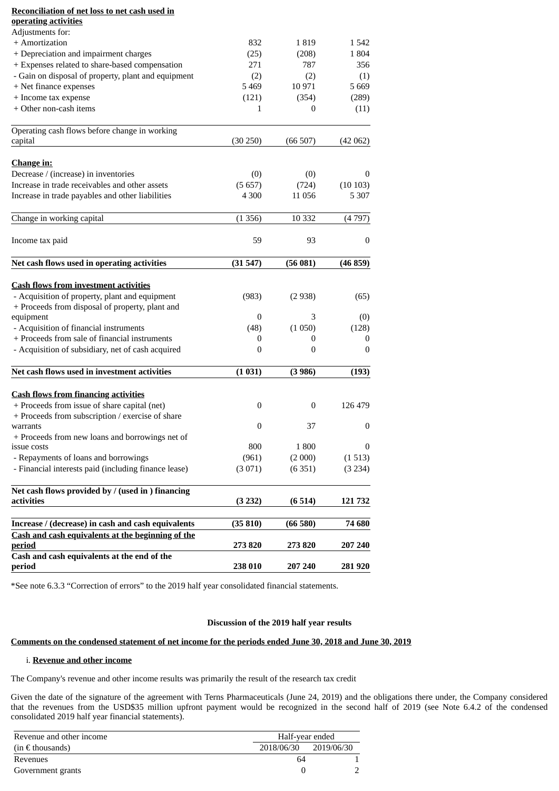## **Reconciliation of net loss to net cash used in operating activities**

| + Amortization<br>832<br>1819<br>1542<br>+ Depreciation and impairment charges<br>(25)<br>(208)<br>1804<br>+ Expenses related to share-based compensation<br>271<br>787<br>356<br>- Gain on disposal of property, plant and equipment<br>(2)<br>(2)<br>(1)<br>+ Net finance expenses<br>5469<br>10971<br>5 6 6 9<br>+ Income tax expense<br>(121)<br>(354)<br>(289)<br>+ Other non-cash items<br>(11)<br>0<br>1<br>Operating cash flows before change in working<br>(30 250)<br>(66507)<br>capital<br>(42 062)<br><b>Change in:</b><br>Decrease / (increase) in inventories<br>(0)<br>(0)<br>0<br>Increase in trade receivables and other assets<br>(5657)<br>(724)<br>(10103)<br>4 3 0 0<br>Increase in trade payables and other liabilities<br>11 0 56<br>5 3 0 7<br>10 3 32<br>Change in working capital<br>(1356)<br>(4797)<br>59<br>93<br>Income tax paid<br>0<br>Net cash flows used in operating activities<br>(31547)<br>(56081)<br>(46 859)<br><b>Cash flows from investment activities</b><br>- Acquisition of property, plant and equipment<br>(983)<br>(2938)<br>(65)<br>+ Proceeds from disposal of property, plant and<br>3<br>equipment<br>0<br>(0)<br>- Acquisition of financial instruments<br>(48)<br>(1050)<br>(128)<br>+ Proceeds from sale of financial instruments<br>0<br>0<br>0<br>- Acquisition of subsidiary, net of cash acquired<br>$\mathbf{0}$<br>0<br>0<br>Net cash flows used in investment activities<br>(1031)<br>(3986)<br>(193)<br><b>Cash flows from financing activities</b><br>+ Proceeds from issue of share capital (net)<br>0<br>$\boldsymbol{0}$<br>126 479<br>+ Proceeds from subscription / exercise of share<br>$\mathbf{0}$<br>37<br>0<br>warrants<br>+ Proceeds from new loans and borrowings net of<br>issue costs<br>800<br>1800<br>$\bf{0}$<br>- Repayments of loans and borrowings<br>(961)<br>(1513)<br>(2 000)<br>- Financial interests paid (including finance lease)<br>(3071)<br>(6351)<br>(3 234)<br>Net cash flows provided by / (used in ) financing<br>(3 232)<br>(6514)<br>activities<br>121732<br>Increase / (decrease) in cash and cash equivalents<br>(35810)<br>(66580)<br>74 680<br>Cash and cash equivalents at the beginning of the<br>273 820<br>273820<br><u>period</u><br>207 240<br>Cash and cash equivalents at the end of the<br>238 010<br>207 240<br>period<br>281920 | <u>operating activities</u><br>Adjustments for: |  |  |
|----------------------------------------------------------------------------------------------------------------------------------------------------------------------------------------------------------------------------------------------------------------------------------------------------------------------------------------------------------------------------------------------------------------------------------------------------------------------------------------------------------------------------------------------------------------------------------------------------------------------------------------------------------------------------------------------------------------------------------------------------------------------------------------------------------------------------------------------------------------------------------------------------------------------------------------------------------------------------------------------------------------------------------------------------------------------------------------------------------------------------------------------------------------------------------------------------------------------------------------------------------------------------------------------------------------------------------------------------------------------------------------------------------------------------------------------------------------------------------------------------------------------------------------------------------------------------------------------------------------------------------------------------------------------------------------------------------------------------------------------------------------------------------------------------------------------------------------------------------------------------------------------------------------------------------------------------------------------------------------------------------------------------------------------------------------------------------------------------------------------------------------------------------------------------------------------------------------------------------------------------------------------------------------------------------------------------------------------------|-------------------------------------------------|--|--|
|                                                                                                                                                                                                                                                                                                                                                                                                                                                                                                                                                                                                                                                                                                                                                                                                                                                                                                                                                                                                                                                                                                                                                                                                                                                                                                                                                                                                                                                                                                                                                                                                                                                                                                                                                                                                                                                                                                                                                                                                                                                                                                                                                                                                                                                                                                                                                    |                                                 |  |  |
|                                                                                                                                                                                                                                                                                                                                                                                                                                                                                                                                                                                                                                                                                                                                                                                                                                                                                                                                                                                                                                                                                                                                                                                                                                                                                                                                                                                                                                                                                                                                                                                                                                                                                                                                                                                                                                                                                                                                                                                                                                                                                                                                                                                                                                                                                                                                                    |                                                 |  |  |
|                                                                                                                                                                                                                                                                                                                                                                                                                                                                                                                                                                                                                                                                                                                                                                                                                                                                                                                                                                                                                                                                                                                                                                                                                                                                                                                                                                                                                                                                                                                                                                                                                                                                                                                                                                                                                                                                                                                                                                                                                                                                                                                                                                                                                                                                                                                                                    |                                                 |  |  |
|                                                                                                                                                                                                                                                                                                                                                                                                                                                                                                                                                                                                                                                                                                                                                                                                                                                                                                                                                                                                                                                                                                                                                                                                                                                                                                                                                                                                                                                                                                                                                                                                                                                                                                                                                                                                                                                                                                                                                                                                                                                                                                                                                                                                                                                                                                                                                    |                                                 |  |  |
|                                                                                                                                                                                                                                                                                                                                                                                                                                                                                                                                                                                                                                                                                                                                                                                                                                                                                                                                                                                                                                                                                                                                                                                                                                                                                                                                                                                                                                                                                                                                                                                                                                                                                                                                                                                                                                                                                                                                                                                                                                                                                                                                                                                                                                                                                                                                                    |                                                 |  |  |
|                                                                                                                                                                                                                                                                                                                                                                                                                                                                                                                                                                                                                                                                                                                                                                                                                                                                                                                                                                                                                                                                                                                                                                                                                                                                                                                                                                                                                                                                                                                                                                                                                                                                                                                                                                                                                                                                                                                                                                                                                                                                                                                                                                                                                                                                                                                                                    |                                                 |  |  |
|                                                                                                                                                                                                                                                                                                                                                                                                                                                                                                                                                                                                                                                                                                                                                                                                                                                                                                                                                                                                                                                                                                                                                                                                                                                                                                                                                                                                                                                                                                                                                                                                                                                                                                                                                                                                                                                                                                                                                                                                                                                                                                                                                                                                                                                                                                                                                    |                                                 |  |  |
|                                                                                                                                                                                                                                                                                                                                                                                                                                                                                                                                                                                                                                                                                                                                                                                                                                                                                                                                                                                                                                                                                                                                                                                                                                                                                                                                                                                                                                                                                                                                                                                                                                                                                                                                                                                                                                                                                                                                                                                                                                                                                                                                                                                                                                                                                                                                                    |                                                 |  |  |
|                                                                                                                                                                                                                                                                                                                                                                                                                                                                                                                                                                                                                                                                                                                                                                                                                                                                                                                                                                                                                                                                                                                                                                                                                                                                                                                                                                                                                                                                                                                                                                                                                                                                                                                                                                                                                                                                                                                                                                                                                                                                                                                                                                                                                                                                                                                                                    |                                                 |  |  |
|                                                                                                                                                                                                                                                                                                                                                                                                                                                                                                                                                                                                                                                                                                                                                                                                                                                                                                                                                                                                                                                                                                                                                                                                                                                                                                                                                                                                                                                                                                                                                                                                                                                                                                                                                                                                                                                                                                                                                                                                                                                                                                                                                                                                                                                                                                                                                    |                                                 |  |  |
|                                                                                                                                                                                                                                                                                                                                                                                                                                                                                                                                                                                                                                                                                                                                                                                                                                                                                                                                                                                                                                                                                                                                                                                                                                                                                                                                                                                                                                                                                                                                                                                                                                                                                                                                                                                                                                                                                                                                                                                                                                                                                                                                                                                                                                                                                                                                                    |                                                 |  |  |
|                                                                                                                                                                                                                                                                                                                                                                                                                                                                                                                                                                                                                                                                                                                                                                                                                                                                                                                                                                                                                                                                                                                                                                                                                                                                                                                                                                                                                                                                                                                                                                                                                                                                                                                                                                                                                                                                                                                                                                                                                                                                                                                                                                                                                                                                                                                                                    |                                                 |  |  |
|                                                                                                                                                                                                                                                                                                                                                                                                                                                                                                                                                                                                                                                                                                                                                                                                                                                                                                                                                                                                                                                                                                                                                                                                                                                                                                                                                                                                                                                                                                                                                                                                                                                                                                                                                                                                                                                                                                                                                                                                                                                                                                                                                                                                                                                                                                                                                    |                                                 |  |  |
|                                                                                                                                                                                                                                                                                                                                                                                                                                                                                                                                                                                                                                                                                                                                                                                                                                                                                                                                                                                                                                                                                                                                                                                                                                                                                                                                                                                                                                                                                                                                                                                                                                                                                                                                                                                                                                                                                                                                                                                                                                                                                                                                                                                                                                                                                                                                                    |                                                 |  |  |
|                                                                                                                                                                                                                                                                                                                                                                                                                                                                                                                                                                                                                                                                                                                                                                                                                                                                                                                                                                                                                                                                                                                                                                                                                                                                                                                                                                                                                                                                                                                                                                                                                                                                                                                                                                                                                                                                                                                                                                                                                                                                                                                                                                                                                                                                                                                                                    |                                                 |  |  |
|                                                                                                                                                                                                                                                                                                                                                                                                                                                                                                                                                                                                                                                                                                                                                                                                                                                                                                                                                                                                                                                                                                                                                                                                                                                                                                                                                                                                                                                                                                                                                                                                                                                                                                                                                                                                                                                                                                                                                                                                                                                                                                                                                                                                                                                                                                                                                    |                                                 |  |  |
|                                                                                                                                                                                                                                                                                                                                                                                                                                                                                                                                                                                                                                                                                                                                                                                                                                                                                                                                                                                                                                                                                                                                                                                                                                                                                                                                                                                                                                                                                                                                                                                                                                                                                                                                                                                                                                                                                                                                                                                                                                                                                                                                                                                                                                                                                                                                                    |                                                 |  |  |
|                                                                                                                                                                                                                                                                                                                                                                                                                                                                                                                                                                                                                                                                                                                                                                                                                                                                                                                                                                                                                                                                                                                                                                                                                                                                                                                                                                                                                                                                                                                                                                                                                                                                                                                                                                                                                                                                                                                                                                                                                                                                                                                                                                                                                                                                                                                                                    |                                                 |  |  |
|                                                                                                                                                                                                                                                                                                                                                                                                                                                                                                                                                                                                                                                                                                                                                                                                                                                                                                                                                                                                                                                                                                                                                                                                                                                                                                                                                                                                                                                                                                                                                                                                                                                                                                                                                                                                                                                                                                                                                                                                                                                                                                                                                                                                                                                                                                                                                    |                                                 |  |  |
|                                                                                                                                                                                                                                                                                                                                                                                                                                                                                                                                                                                                                                                                                                                                                                                                                                                                                                                                                                                                                                                                                                                                                                                                                                                                                                                                                                                                                                                                                                                                                                                                                                                                                                                                                                                                                                                                                                                                                                                                                                                                                                                                                                                                                                                                                                                                                    |                                                 |  |  |
|                                                                                                                                                                                                                                                                                                                                                                                                                                                                                                                                                                                                                                                                                                                                                                                                                                                                                                                                                                                                                                                                                                                                                                                                                                                                                                                                                                                                                                                                                                                                                                                                                                                                                                                                                                                                                                                                                                                                                                                                                                                                                                                                                                                                                                                                                                                                                    |                                                 |  |  |
|                                                                                                                                                                                                                                                                                                                                                                                                                                                                                                                                                                                                                                                                                                                                                                                                                                                                                                                                                                                                                                                                                                                                                                                                                                                                                                                                                                                                                                                                                                                                                                                                                                                                                                                                                                                                                                                                                                                                                                                                                                                                                                                                                                                                                                                                                                                                                    |                                                 |  |  |
|                                                                                                                                                                                                                                                                                                                                                                                                                                                                                                                                                                                                                                                                                                                                                                                                                                                                                                                                                                                                                                                                                                                                                                                                                                                                                                                                                                                                                                                                                                                                                                                                                                                                                                                                                                                                                                                                                                                                                                                                                                                                                                                                                                                                                                                                                                                                                    |                                                 |  |  |
|                                                                                                                                                                                                                                                                                                                                                                                                                                                                                                                                                                                                                                                                                                                                                                                                                                                                                                                                                                                                                                                                                                                                                                                                                                                                                                                                                                                                                                                                                                                                                                                                                                                                                                                                                                                                                                                                                                                                                                                                                                                                                                                                                                                                                                                                                                                                                    |                                                 |  |  |
|                                                                                                                                                                                                                                                                                                                                                                                                                                                                                                                                                                                                                                                                                                                                                                                                                                                                                                                                                                                                                                                                                                                                                                                                                                                                                                                                                                                                                                                                                                                                                                                                                                                                                                                                                                                                                                                                                                                                                                                                                                                                                                                                                                                                                                                                                                                                                    |                                                 |  |  |
|                                                                                                                                                                                                                                                                                                                                                                                                                                                                                                                                                                                                                                                                                                                                                                                                                                                                                                                                                                                                                                                                                                                                                                                                                                                                                                                                                                                                                                                                                                                                                                                                                                                                                                                                                                                                                                                                                                                                                                                                                                                                                                                                                                                                                                                                                                                                                    |                                                 |  |  |
|                                                                                                                                                                                                                                                                                                                                                                                                                                                                                                                                                                                                                                                                                                                                                                                                                                                                                                                                                                                                                                                                                                                                                                                                                                                                                                                                                                                                                                                                                                                                                                                                                                                                                                                                                                                                                                                                                                                                                                                                                                                                                                                                                                                                                                                                                                                                                    |                                                 |  |  |
|                                                                                                                                                                                                                                                                                                                                                                                                                                                                                                                                                                                                                                                                                                                                                                                                                                                                                                                                                                                                                                                                                                                                                                                                                                                                                                                                                                                                                                                                                                                                                                                                                                                                                                                                                                                                                                                                                                                                                                                                                                                                                                                                                                                                                                                                                                                                                    |                                                 |  |  |
|                                                                                                                                                                                                                                                                                                                                                                                                                                                                                                                                                                                                                                                                                                                                                                                                                                                                                                                                                                                                                                                                                                                                                                                                                                                                                                                                                                                                                                                                                                                                                                                                                                                                                                                                                                                                                                                                                                                                                                                                                                                                                                                                                                                                                                                                                                                                                    |                                                 |  |  |
|                                                                                                                                                                                                                                                                                                                                                                                                                                                                                                                                                                                                                                                                                                                                                                                                                                                                                                                                                                                                                                                                                                                                                                                                                                                                                                                                                                                                                                                                                                                                                                                                                                                                                                                                                                                                                                                                                                                                                                                                                                                                                                                                                                                                                                                                                                                                                    |                                                 |  |  |
|                                                                                                                                                                                                                                                                                                                                                                                                                                                                                                                                                                                                                                                                                                                                                                                                                                                                                                                                                                                                                                                                                                                                                                                                                                                                                                                                                                                                                                                                                                                                                                                                                                                                                                                                                                                                                                                                                                                                                                                                                                                                                                                                                                                                                                                                                                                                                    |                                                 |  |  |
|                                                                                                                                                                                                                                                                                                                                                                                                                                                                                                                                                                                                                                                                                                                                                                                                                                                                                                                                                                                                                                                                                                                                                                                                                                                                                                                                                                                                                                                                                                                                                                                                                                                                                                                                                                                                                                                                                                                                                                                                                                                                                                                                                                                                                                                                                                                                                    |                                                 |  |  |
|                                                                                                                                                                                                                                                                                                                                                                                                                                                                                                                                                                                                                                                                                                                                                                                                                                                                                                                                                                                                                                                                                                                                                                                                                                                                                                                                                                                                                                                                                                                                                                                                                                                                                                                                                                                                                                                                                                                                                                                                                                                                                                                                                                                                                                                                                                                                                    |                                                 |  |  |
|                                                                                                                                                                                                                                                                                                                                                                                                                                                                                                                                                                                                                                                                                                                                                                                                                                                                                                                                                                                                                                                                                                                                                                                                                                                                                                                                                                                                                                                                                                                                                                                                                                                                                                                                                                                                                                                                                                                                                                                                                                                                                                                                                                                                                                                                                                                                                    |                                                 |  |  |
|                                                                                                                                                                                                                                                                                                                                                                                                                                                                                                                                                                                                                                                                                                                                                                                                                                                                                                                                                                                                                                                                                                                                                                                                                                                                                                                                                                                                                                                                                                                                                                                                                                                                                                                                                                                                                                                                                                                                                                                                                                                                                                                                                                                                                                                                                                                                                    |                                                 |  |  |
|                                                                                                                                                                                                                                                                                                                                                                                                                                                                                                                                                                                                                                                                                                                                                                                                                                                                                                                                                                                                                                                                                                                                                                                                                                                                                                                                                                                                                                                                                                                                                                                                                                                                                                                                                                                                                                                                                                                                                                                                                                                                                                                                                                                                                                                                                                                                                    |                                                 |  |  |
|                                                                                                                                                                                                                                                                                                                                                                                                                                                                                                                                                                                                                                                                                                                                                                                                                                                                                                                                                                                                                                                                                                                                                                                                                                                                                                                                                                                                                                                                                                                                                                                                                                                                                                                                                                                                                                                                                                                                                                                                                                                                                                                                                                                                                                                                                                                                                    |                                                 |  |  |
|                                                                                                                                                                                                                                                                                                                                                                                                                                                                                                                                                                                                                                                                                                                                                                                                                                                                                                                                                                                                                                                                                                                                                                                                                                                                                                                                                                                                                                                                                                                                                                                                                                                                                                                                                                                                                                                                                                                                                                                                                                                                                                                                                                                                                                                                                                                                                    |                                                 |  |  |
|                                                                                                                                                                                                                                                                                                                                                                                                                                                                                                                                                                                                                                                                                                                                                                                                                                                                                                                                                                                                                                                                                                                                                                                                                                                                                                                                                                                                                                                                                                                                                                                                                                                                                                                                                                                                                                                                                                                                                                                                                                                                                                                                                                                                                                                                                                                                                    |                                                 |  |  |
|                                                                                                                                                                                                                                                                                                                                                                                                                                                                                                                                                                                                                                                                                                                                                                                                                                                                                                                                                                                                                                                                                                                                                                                                                                                                                                                                                                                                                                                                                                                                                                                                                                                                                                                                                                                                                                                                                                                                                                                                                                                                                                                                                                                                                                                                                                                                                    |                                                 |  |  |
|                                                                                                                                                                                                                                                                                                                                                                                                                                                                                                                                                                                                                                                                                                                                                                                                                                                                                                                                                                                                                                                                                                                                                                                                                                                                                                                                                                                                                                                                                                                                                                                                                                                                                                                                                                                                                                                                                                                                                                                                                                                                                                                                                                                                                                                                                                                                                    |                                                 |  |  |

\*See note 6.3.3 "Correction of errors" to the 2019 half year consolidated financial statements.

## **Discussion of the 2019 half year results**

## **Comments on the condensed statement of net income for the periods ended June 30, 2018 and June 30, 2019**

## i. **Revenue and other income**

The Company's revenue and other income results was primarily the result of the research tax credit

Given the date of the signature of the agreement with Terns Pharmaceuticals (June 24, 2019) and the obligations there under, the Company considered that the revenues from the USD\$35 million upfront payment would be recognized in the second half of 2019 (see Note 6.4.2 of the condensed consolidated 2019 half year financial statements).

| Revenue and other income | Half-year ended |            |  |
|--------------------------|-----------------|------------|--|
| $(in \in$ thousands)     | 2018/06/30      | 2019/06/30 |  |
| Revenues                 | 64              |            |  |
| Government grants        |                 |            |  |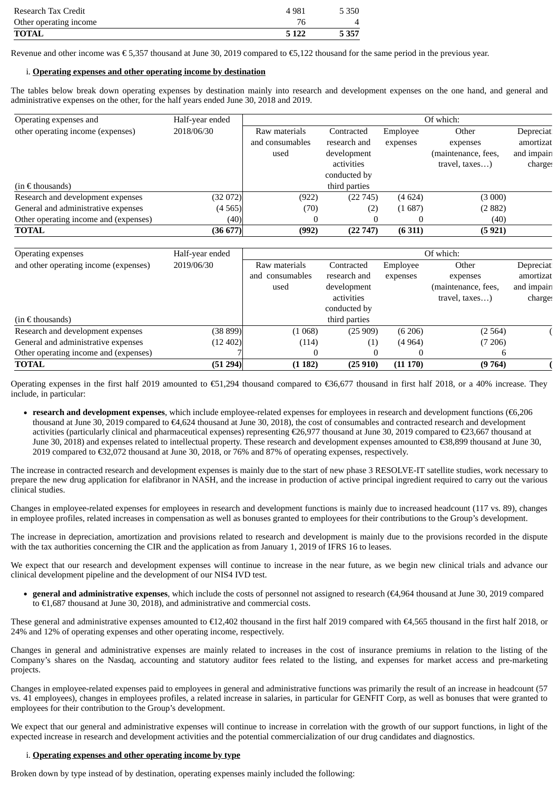| Research Tax Credit    | 4 9 8 1 | 5 3 5 0 |
|------------------------|---------|---------|
| Other operating income | 76      |         |
| TOTAL                  | 5 1 2 2 | 5 3 5 7 |

Revenue and other income was € 5,357 thousand at June 30, 2019 compared to €5,122 thousand for the same period in the previous year.

## i. **Operating expenses and other operating income by destination**

The tables below break down operating expenses by destination mainly into research and development expenses on the one hand, and general and administrative expenses on the other, for the half years ended June 30, 2018 and 2019.

| Operating expenses and                | Half-year ended | Of which:       |               |          |                     |            |
|---------------------------------------|-----------------|-----------------|---------------|----------|---------------------|------------|
| other operating income (expenses)     | 2018/06/30      | Raw materials   | Contracted    | Employee | Other               | Depreciati |
|                                       |                 | and consumables | research and  | expenses | expenses            | amortizat  |
|                                       |                 | used            | development   |          | (maintenance, fees, | and impair |
|                                       |                 |                 | activities    |          | travel, taxes)      | charge:    |
|                                       |                 |                 | conducted by  |          |                     |            |
| $(in \in$ thousands)                  |                 |                 | third parties |          |                     |            |
| Research and development expenses     | (32072)         | (922)           | (22745)       | (4624)   | (3000)              |            |
| General and administrative expenses   | (4565)          | (70)            | (2)           | (1687)   | (2882)              |            |
| Other operating income and (expenses) | (40)            | 0               |               | 0        | (40)                |            |
| <b>TOTAL</b>                          | (36677)         | (992)           | (22747)       | (6311)   | (5921)              |            |

| Operating expenses                    | Half-year ended |                    | Of which:     |          |                     |            |
|---------------------------------------|-----------------|--------------------|---------------|----------|---------------------|------------|
| and other operating income (expenses) | 2019/06/30      | Raw materials      | Contracted    | Employee | Other               | Depreciat  |
|                                       |                 | consumables<br>and | research and  | expenses | expenses            | amortizat  |
|                                       |                 | used               | development   |          | (maintenance, fees, | and impair |
|                                       |                 |                    | activities    |          | travel, taxes)      | charge:    |
|                                       |                 |                    | conducted by  |          |                     |            |
| $(in \in$ thousands)                  |                 |                    | third parties |          |                     |            |
| Research and development expenses     | (38 899)        | (1068)             | (25909)       | (6206)   | (2564)              |            |
| General and administrative expenses   | (12 402)        | (114)              | (1)           | (4964)   | (7206)              |            |
| Other operating income and (expenses) |                 | v                  | 0             | U        |                     |            |
| <b>TOTAL</b>                          | (51 294)        | (1182)             | (25910)       | (11170)  | (9764)              |            |

Operating expenses in the first half 2019 amounted to €51,294 thousand compared to €36,677 thousand in first half 2018, or a 40% increase. They include, in particular:

**research and development expenses**, which include employee-related expenses for employees in research and development functions (€6,206 thousand at June 30, 2019 compared to €4,624 thousand at June 30, 2018), the cost of consumables and contracted research and development activities (particularly clinical and pharmaceutical expenses) representing €26,977 thousand at June 30, 2019 compared to €23,667 thousand at June 30, 2018) and expenses related to intellectual property. These research and development expenses amounted to €38,899 thousand at June 30, 2019 compared to €32,072 thousand at June 30, 2018, or 76% and 87% of operating expenses, respectively.

The increase in contracted research and development expenses is mainly due to the start of new phase 3 RESOLVE-IT satellite studies, work necessary to prepare the new drug application for elafibranor in NASH, and the increase in production of active principal ingredient required to carry out the various clinical studies.

Changes in employee-related expenses for employees in research and development functions is mainly due to increased headcount (117 vs. 89), changes in employee profiles, related increases in compensation as well as bonuses granted to employees for their contributions to the Group's development.

The increase in depreciation, amortization and provisions related to research and development is mainly due to the provisions recorded in the dispute with the tax authorities concerning the CIR and the application as from January 1, 2019 of IFRS 16 to leases.

We expect that our research and development expenses will continue to increase in the near future, as we begin new clinical trials and advance our clinical development pipeline and the development of our NIS4 IVD test.

**general and administrative expenses**, which include the costs of personnel not assigned to research (€4,964 thousand at June 30, 2019 compared to €1,687 thousand at June 30, 2018), and administrative and commercial costs.

These general and administrative expenses amounted to €12,402 thousand in the first half 2019 compared with €4,565 thousand in the first half 2018, or 24% and 12% of operating expenses and other operating income, respectively.

Changes in general and administrative expenses are mainly related to increases in the cost of insurance premiums in relation to the listing of the Company's shares on the Nasdaq, accounting and statutory auditor fees related to the listing, and expenses for market access and pre-marketing projects.

Changes in employee-related expenses paid to employees in general and administrative functions was primarily the result of an increase in headcount (57 vs. 41 employees), changes in employees profiles, a related increase in salaries, in particular for GENFIT Corp, as well as bonuses that were granted to employees for their contribution to the Group's development.

We expect that our general and administrative expenses will continue to increase in correlation with the growth of our support functions, in light of the expected increase in research and development activities and the potential commercialization of our drug candidates and diagnostics.

## i. **Operating expenses and other operating income by type**

Broken down by type instead of by destination, operating expenses mainly included the following: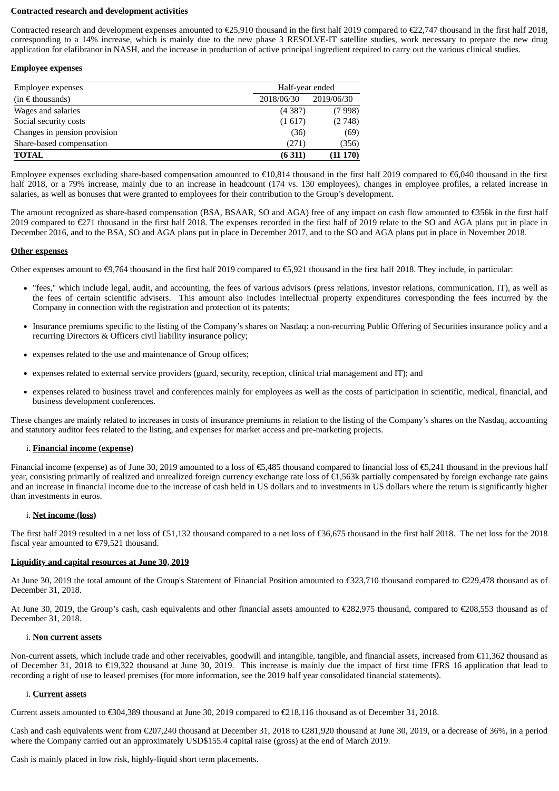## **Contracted research and development activities**

Contracted research and development expenses amounted to €25,910 thousand in the first half 2019 compared to €22,747 thousand in the first half 2018, corresponding to a 14% increase, which is mainly due to the new phase 3 RESOLVE-IT satellite studies, work necessary to prepare the new drug application for elafibranor in NASH, and the increase in production of active principal ingredient required to carry out the various clinical studies.

## **Employee expenses**

| Employee expenses            | Half-year ended |            |  |
|------------------------------|-----------------|------------|--|
| $(in \in$ thousands)         | 2018/06/30      | 2019/06/30 |  |
| Wages and salaries           | (4387)          | (7998)     |  |
| Social security costs        | (1617)          | (2748)     |  |
| Changes in pension provision | (36)            | (69)       |  |
| Share-based compensation     | (271)           | (356)      |  |
| <b>TOTAL</b>                 | (6311)          | (11170)    |  |

Employee expenses excluding share-based compensation amounted to  $\epsilon$ 10,814 thousand in the first half 2019 compared to  $\epsilon$ 6,040 thousand in the first half 2018, or a 79% increase, mainly due to an increase in headcount (174 vs. 130 employees), changes in employee profiles, a related increase in salaries, as well as bonuses that were granted to employees for their contribution to the Group's development.

The amount recognized as share-based compensation (BSA, BSAAR, SO and AGA) free of any impact on cash flow amounted to €356k in the first half 2019 compared to €271 thousand in the first half 2018. The expenses recorded in the first half of 2019 relate to the SO and AGA plans put in place in December 2016, and to the BSA, SO and AGA plans put in place in December 2017, and to the SO and AGA plans put in place in November 2018.

## **Other expenses**

Other expenses amount to €9,764 thousand in the first half 2019 compared to €5,921 thousand in the first half 2018. They include, in particular:

- "fees," which include legal, audit, and accounting, the fees of various advisors (press relations, investor relations, communication, IT), as well as the fees of certain scientific advisers. This amount also includes intellectual property expenditures corresponding the fees incurred by the Company in connection with the registration and protection of its patents;
- Insurance premiums specific to the listing of the Company's shares on Nasdaq: a non-recurring Public Offering of Securities insurance policy and a recurring Directors & Officers civil liability insurance policy;
- expenses related to the use and maintenance of Group offices;
- expenses related to external service providers (guard, security, reception, clinical trial management and IT); and
- expenses related to business travel and conferences mainly for employees as well as the costs of participation in scientific, medical, financial, and business development conferences.

These changes are mainly related to increases in costs of insurance premiums in relation to the listing of the Company's shares on the Nasdaq, accounting and statutory auditor fees related to the listing, and expenses for market access and pre-marketing projects.

## i. **Financial income (expense)**

Financial income (expense) as of June 30, 2019 amounted to a loss of €5,485 thousand compared to financial loss of €5,241 thousand in the previous half year, consisting primarily of realized and unrealized foreign currency exchange rate loss of €1,563k partially compensated by foreign exchange rate gains and an increase in financial income due to the increase of cash held in US dollars and to investments in US dollars where the return is significantly higher than investments in euros.

## i. **Net income (loss)**

The first half 2019 resulted in a net loss of  $\epsilon$ 51,132 thousand compared to a net loss of  $\epsilon$ 36,675 thousand in the first half 2018. The net loss for the 2018 fiscal year amounted to €79,521 thousand.

## **Liquidity and capital resources at June 30, 2019**

At June 30, 2019 the total amount of the Group's Statement of Financial Position amounted to €323,710 thousand compared to €229,478 thousand as of December 31, 2018.

At June 30, 2019, the Group's cash, cash equivalents and other financial assets amounted to €282,975 thousand, compared to €208,553 thousand as of December 31, 2018.

## i. **Non current assets**

Non-current assets, which include trade and other receivables, goodwill and intangible, tangible, and financial assets, increased from  $\epsilon$ 11,362 thousand as of December 31, 2018 to €19,322 thousand at June 30, 2019. This increase is mainly due the impact of first time IFRS 16 application that lead to recording a right of use to leased premises (for more information, see the 2019 half year consolidated financial statements).

## i. **Current assets**

Current assets amounted to €304,389 thousand at June 30, 2019 compared to €218,116 thousand as of December 31, 2018.

Cash and cash equivalents went from €207,240 thousand at December 31, 2018 to €281,920 thousand at June 30, 2019, or a decrease of 36%, in a period where the Company carried out an approximately USD\$155.4 capital raise (gross) at the end of March 2019.

Cash is mainly placed in low risk, highly-liquid short term placements.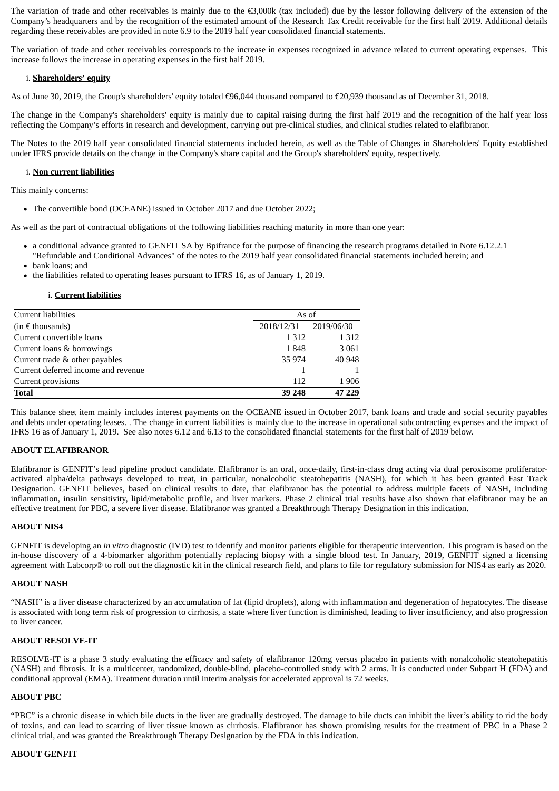The variation of trade and other receivables is mainly due to the €3,000k (tax included) due by the lessor following delivery of the extension of the Company's headquarters and by the recognition of the estimated amount of the Research Tax Credit receivable for the first half 2019. Additional details regarding these receivables are provided in note 6.9 to the 2019 half year consolidated financial statements.

The variation of trade and other receivables corresponds to the increase in expenses recognized in advance related to current operating expenses. This increase follows the increase in operating expenses in the first half 2019.

## i. **Shareholders' equity**

As of June 30, 2019, the Group's shareholders' equity totaled €96,044 thousand compared to €20,939 thousand as of December 31, 2018.

The change in the Company's shareholders' equity is mainly due to capital raising during the first half 2019 and the recognition of the half year loss reflecting the Company's efforts in research and development, carrying out pre-clinical studies, and clinical studies related to elafibranor.

The Notes to the 2019 half year consolidated financial statements included herein, as well as the Table of Changes in Shareholders' Equity established under IFRS provide details on the change in the Company's share capital and the Group's shareholders' equity, respectively.

## i. **Non current liabilities**

This mainly concerns:

The convertible bond (OCEANE) issued in October 2017 and due October 2022;

As well as the part of contractual obligations of the following liabilities reaching maturity in more than one year:

- a conditional advance granted to GENFIT SA by Bpifrance for the purpose of financing the research programs detailed in Note 6.12.2.1 "Refundable and Conditional Advances" of the notes to the 2019 half year consolidated financial statements included herein; and
- bank loans; and
- the liabilities related to operating leases pursuant to IFRS 16, as of January 1, 2019.

#### i. **Current liabilities**

| Current liabilities                 | As of      |            |
|-------------------------------------|------------|------------|
| $(in \in$ thousands)                | 2018/12/31 | 2019/06/30 |
| Current convertible loans           | 1 3 1 2    | 1 3 1 2    |
| Current loans & borrowings          | 1848       | 3 0 6 1    |
| Current trade & other payables      | 35 974     | 40 948     |
| Current deferred income and revenue |            |            |
| Current provisions                  | 112        | 1906       |
| <b>Total</b>                        | 39 248     | 47 229     |

This balance sheet item mainly includes interest payments on the OCEANE issued in October 2017, bank loans and trade and social security payables and debts under operating leases. . The change in current liabilities is mainly due to the increase in operational subcontracting expenses and the impact of IFRS 16 as of January 1, 2019. See also notes 6.12 and 6.13 to the consolidated financial statements for the first half of 2019 below.

## **ABOUT ELAFIBRANOR**

Elafibranor is GENFIT's lead pipeline product candidate. Elafibranor is an oral, once-daily, first-in-class drug acting via dual peroxisome proliferatoractivated alpha/delta pathways developed to treat, in particular, nonalcoholic steatohepatitis (NASH), for which it has been granted Fast Track Designation. GENFIT believes, based on clinical results to date, that elafibranor has the potential to address multiple facets of NASH, including inflammation, insulin sensitivity, lipid/metabolic profile, and liver markers. Phase 2 clinical trial results have also shown that elafibranor may be an effective treatment for PBC, a severe liver disease. Elafibranor was granted a Breakthrough Therapy Designation in this indication.

## **ABOUT NIS4**

GENFIT is developing an *in vitro* diagnostic (IVD) test to identify and monitor patients eligible for therapeutic intervention. This program is based on the in-house discovery of a 4-biomarker algorithm potentially replacing biopsy with a single blood test. In January, 2019, GENFIT signed a licensing agreement with Labcorp® to roll out the diagnostic kit in the clinical research field, and plans to file for regulatory submission for NIS4 as early as 2020.

## **ABOUT NASH**

"NASH" is a liver disease characterized by an accumulation of fat (lipid droplets), along with inflammation and degeneration of hepatocytes. The disease is associated with long term risk of progression to cirrhosis, a state where liver function is diminished, leading to liver insufficiency, and also progression to liver cancer.

## **ABOUT RESOLVE-IT**

RESOLVE-IT is a phase 3 study evaluating the efficacy and safety of elafibranor 120mg versus placebo in patients with nonalcoholic steatohepatitis (NASH) and fibrosis. It is a multicenter, randomized, double-blind, placebo-controlled study with 2 arms. It is conducted under Subpart H (FDA) and conditional approval (EMA). Treatment duration until interim analysis for accelerated approval is 72 weeks.

## **ABOUT PBC**

"PBC" is a chronic disease in which bile ducts in the liver are gradually destroyed. The damage to bile ducts can inhibit the liver's ability to rid the body of toxins, and can lead to scarring of liver tissue known as cirrhosis. Elafibranor has shown promising results for the treatment of PBC in a Phase 2 clinical trial, and was granted the Breakthrough Therapy Designation by the FDA in this indication.

## **ABOUT GENFIT**